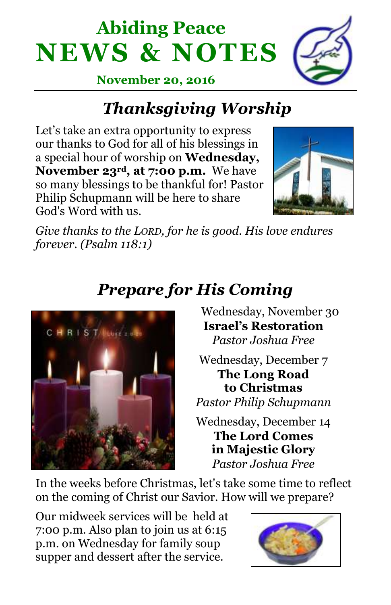# **Abiding Peace NEWS & NOTES**



**November 20, 2016**

## *Thanksgiving Worship*

Let's take an extra opportunity to express our thanks to God for all of his blessings in a special hour of worship on **Wednesday, November 23rd, at 7:00 p.m.** We have so many blessings to be thankful for! Pastor Philip Schupmann will be here to share God's Word with us.



*Give thanks to the LORD, for he is good. His love endures forever. (Psalm 118:1)*



## *Prepare for His Coming*

 Wednesday, November 30 **Israel's Restoration** *Pastor Joshua Free*

Wednesday, December 7 **The Long Road to Christmas**

*Pastor Philip Schupmann*

Wednesday, December 14 **The Lord Comes in Majestic Glory** *Pastor Joshua Free*

In the weeks before Christmas, let's take some time to reflect on the coming of Christ our Savior. How will we prepare?

Our midweek services will be held at 7:00 p.m. Also plan to join us at 6:15 p.m. on Wednesday for family soup supper and dessert after the service.

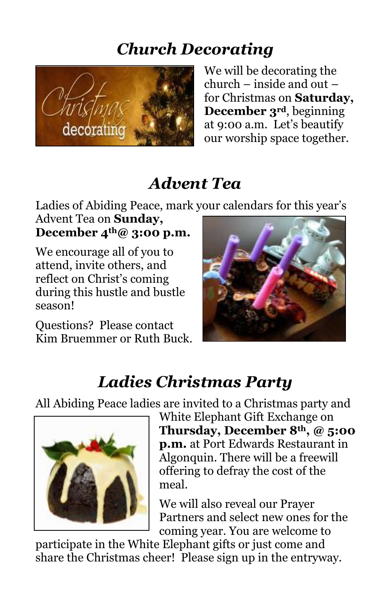#### *Church Decorating*



We will be decorating the church – inside and out – for Christmas on **Saturday, December 3rd**, beginning at 9:00 a.m. Let's beautify our worship space together.

#### *Advent Tea*

Ladies of Abiding Peace, mark your calendars for this year's

Advent Tea on **Sunday, December 4th@ 3:00 p.m.** 

We encourage all of you to attend, invite others, and reflect on Christ's coming during this hustle and bustle season!

Questions? Please contact Kim Bruemmer or Ruth Buck.



### *Ladies Christmas Party*

All Abiding Peace ladies are invited to a Christmas party and



White Elephant Gift Exchange on **Thursday, December 8th, @ 5:00 p.m.** at Port Edwards Restaurant in Algonquin. There will be a freewill offering to defray the cost of the meal.

We will also reveal our Prayer Partners and select new ones for the coming year. You are welcome to

participate in the White Elephant gifts or just come and share the Christmas cheer! Please sign up in the entryway.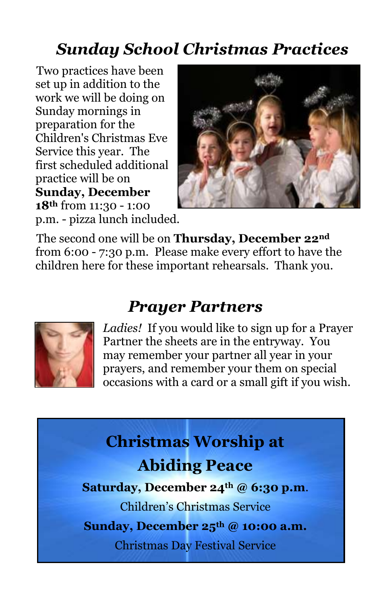#### *Sunday School Christmas Practices*

Two practices have been set up in addition to the work we will be doing on Sunday mornings in preparation for the Children's Christmas Eve Service this year. The first scheduled additional practice will be on **Sunday, December 18th** from 11:30 - 1:00 p.m. - pizza lunch included.



The second one will be on **Thursday, December 22nd** from 6:00 - 7:30 p.m. Please make every effort to have the children here for these important rehearsals. Thank you.

#### *Prayer Partners*



*Ladies!* If you would like to sign up for a Prayer Partner the sheets are in the entryway. You may remember your partner all year in your prayers, and remember your them on special occasions with a card or a small gift if you wish.

## **Christmas Worship at Abiding Peace**

**Saturday, December 24th @ 6:30 p.m**.

Children's Christmas Service

**Sunday, December 25th @ 10:00 a.m.**

Christmas Day Festival Service